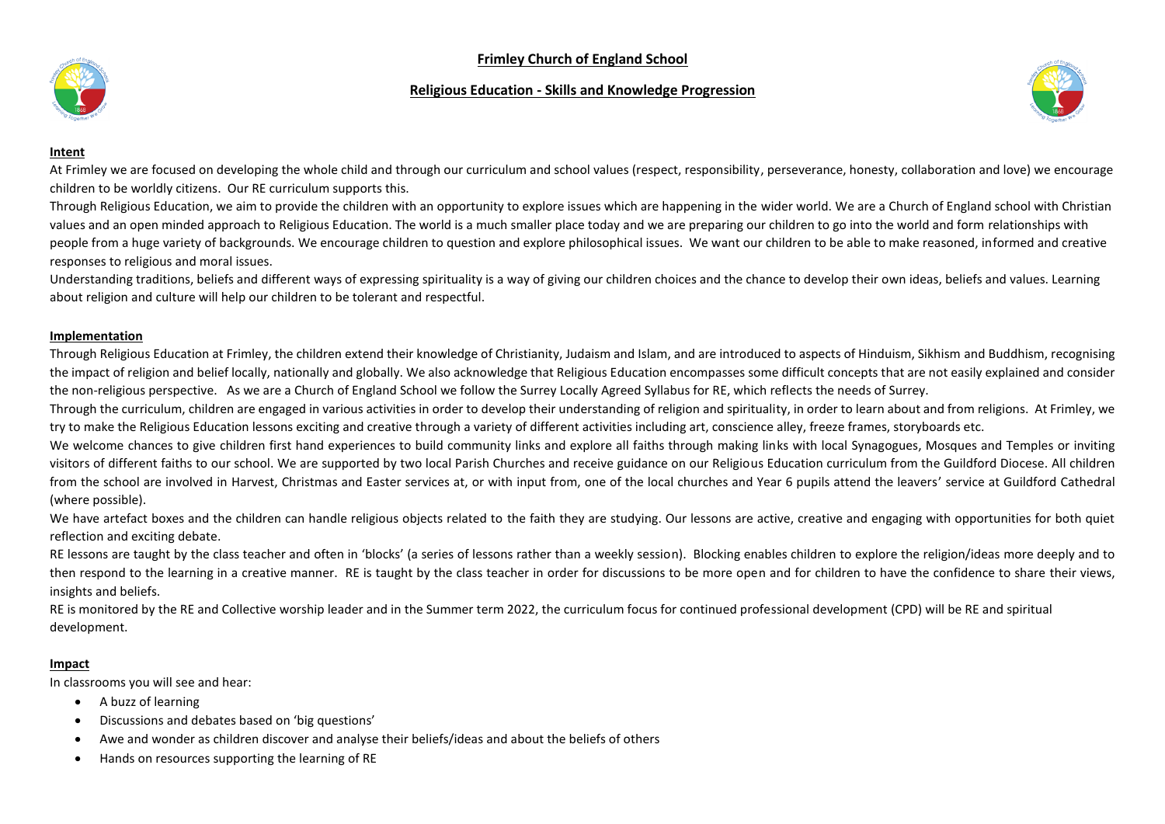## **Frimley Church of England School**

## **Religious Education - Skills and Knowledge Progression**





#### **Intent**

At Frimley we are focused on developing the whole child and through our curriculum and school values (respect, responsibility, perseverance, honesty, collaboration and love) we encourage children to be worldly citizens. Our RE curriculum supports this.

Through Religious Education, we aim to provide the children with an opportunity to explore issues which are happening in the wider world. We are a Church of England school with Christian values and an open minded approach to Religious Education. The world is a much smaller place today and we are preparing our children to go into the world and form relationships with people from a huge variety of backgrounds. We encourage children to question and explore philosophical issues. We want our children to be able to make reasoned, informed and creative responses to religious and moral issues.

Understanding traditions, beliefs and different ways of expressing spirituality is a way of giving our children choices and the chance to develop their own ideas, beliefs and values. Learning about religion and culture will help our children to be tolerant and respectful.

#### **Implementation**

Through Religious Education at Frimley, the children extend their knowledge of Christianity, Judaism and Islam, and are introduced to aspects of Hinduism, Sikhism and Buddhism, recognising the impact of religion and belief locally, nationally and globally. We also acknowledge that Religious Education encompasses some difficult concepts that are not easily explained and consider the non-religious perspective. As we are a Church of England School we follow the Surrey Locally Agreed Syllabus for RE, which reflects the needs of Surrey.

Through the curriculum, children are engaged in various activities in order to develop their understanding of religion and spirituality, in order to learn about and from religions. At Frimley, we try to make the Religious Education lessons exciting and creative through a variety of different activities including art, conscience alley, freeze frames, storyboards etc.

We welcome chances to give children first hand experiences to build community links and explore all faiths through making links with local Synagogues, Mosques and Temples or inviting visitors of different faiths to our school. We are supported by two local Parish Churches and receive guidance on our Religious Education curriculum from the Guildford Diocese. All children from the school are involved in Harvest, Christmas and Easter services at, or with input from, one of the local churches and Year 6 pupils attend the leavers' service at Guildford Cathedral (where possible).

We have artefact boxes and the children can handle religious objects related to the faith they are studying. Our lessons are active, creative and engaging with opportunities for both quiet reflection and exciting debate.

RE lessons are taught by the class teacher and often in 'blocks' (a series of lessons rather than a weekly session). Blocking enables children to explore the religion/ideas more deeply and to then respond to the learning in a creative manner. RE is taught by the class teacher in order for discussions to be more open and for children to have the confidence to share their views, insights and beliefs.

RE is monitored by the RE and Collective worship leader and in the Summer term 2022, the curriculum focus for continued professional development (CPD) will be RE and spiritual development.

#### **Impact**

In classrooms you will see and hear:

- A buzz of learning
- Discussions and debates based on 'big questions'
- Awe and wonder as children discover and analyse their beliefs/ideas and about the beliefs of others
- Hands on resources supporting the learning of RE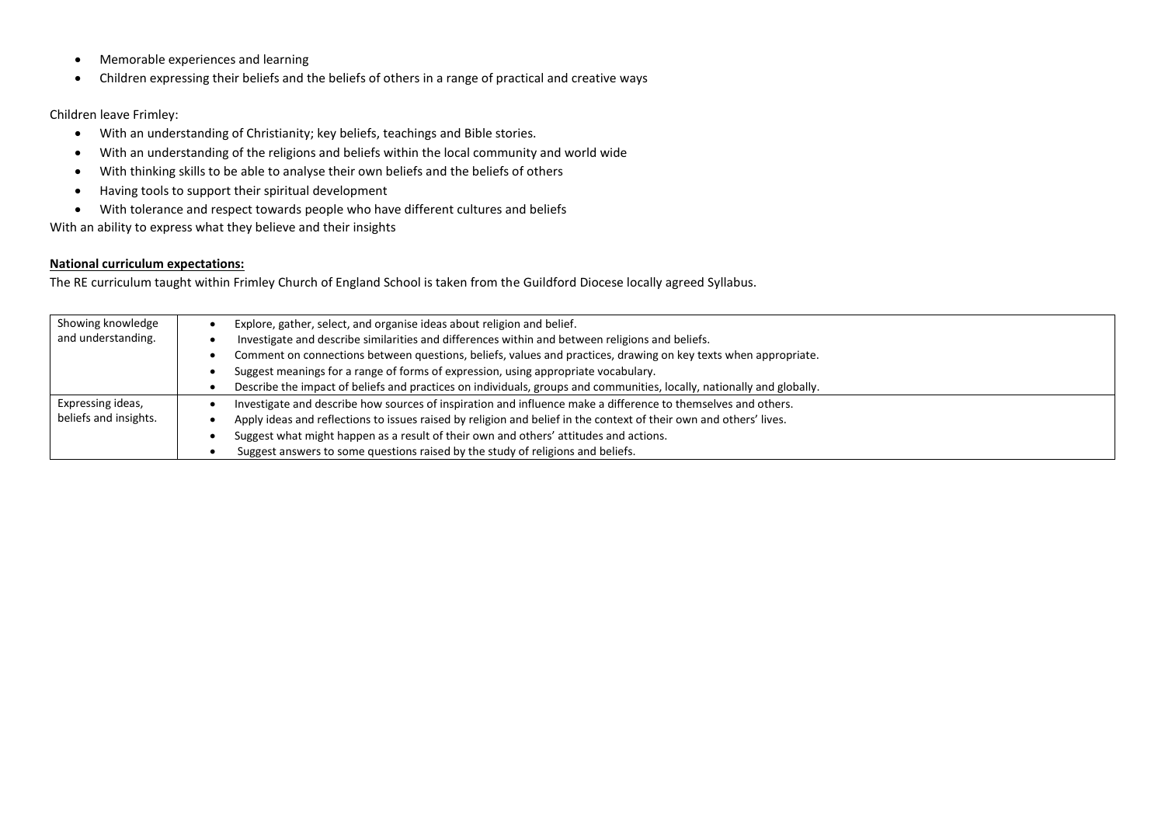- Memorable experiences and learning
- Children expressing their beliefs and the beliefs of others in a range of practical and creative ways

#### Children leave Frimley:

- With an understanding of Christianity; key beliefs, teachings and Bible stories.
- With an understanding of the religions and beliefs within the local community and world wide
- With thinking skills to be able to analyse their own beliefs and the beliefs of others
- Having tools to support their spiritual development
- With tolerance and respect towards people who have different cultures and beliefs

With an ability to express what they believe and their insights

### **National curriculum expectations:**

The RE curriculum taught within Frimley Church of England School is taken from the Guildford Diocese locally agreed Syllabus.

| Showing knowledge     | Explore, gather, select, and organise ideas about religion and belief.                                                 |
|-----------------------|------------------------------------------------------------------------------------------------------------------------|
| and understanding.    | Investigate and describe similarities and differences within and between religions and beliefs.                        |
|                       | Comment on connections between questions, beliefs, values and practices, drawing on key texts when appropriate.        |
|                       | Suggest meanings for a range of forms of expression, using appropriate vocabulary.                                     |
|                       | Describe the impact of beliefs and practices on individuals, groups and communities, locally, nationally and globally. |
| Expressing ideas,     | Investigate and describe how sources of inspiration and influence make a difference to themselves and others.          |
| beliefs and insights. | Apply ideas and reflections to issues raised by religion and belief in the context of their own and others' lives.     |
|                       | Suggest what might happen as a result of their own and others' attitudes and actions.                                  |
|                       | Suggest answers to some questions raised by the study of religions and beliefs.                                        |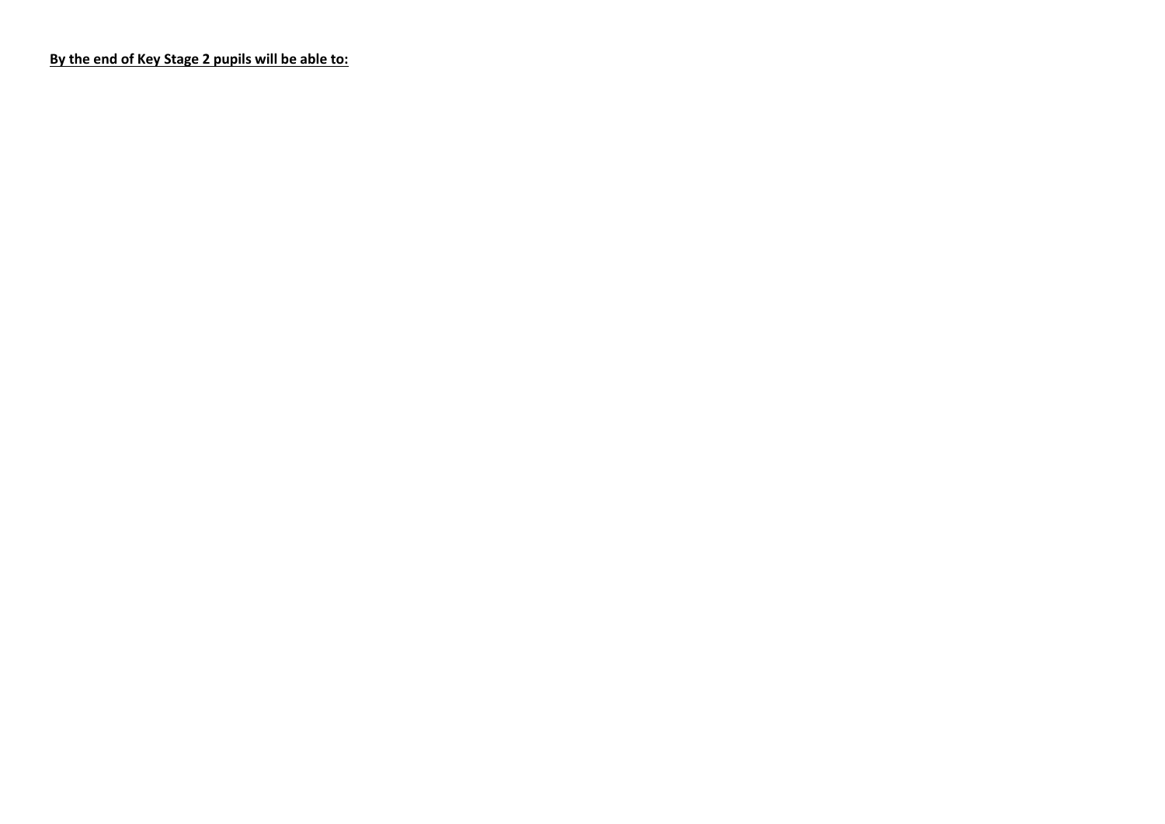**By the end of Key Stage 2 pupils will be able to:**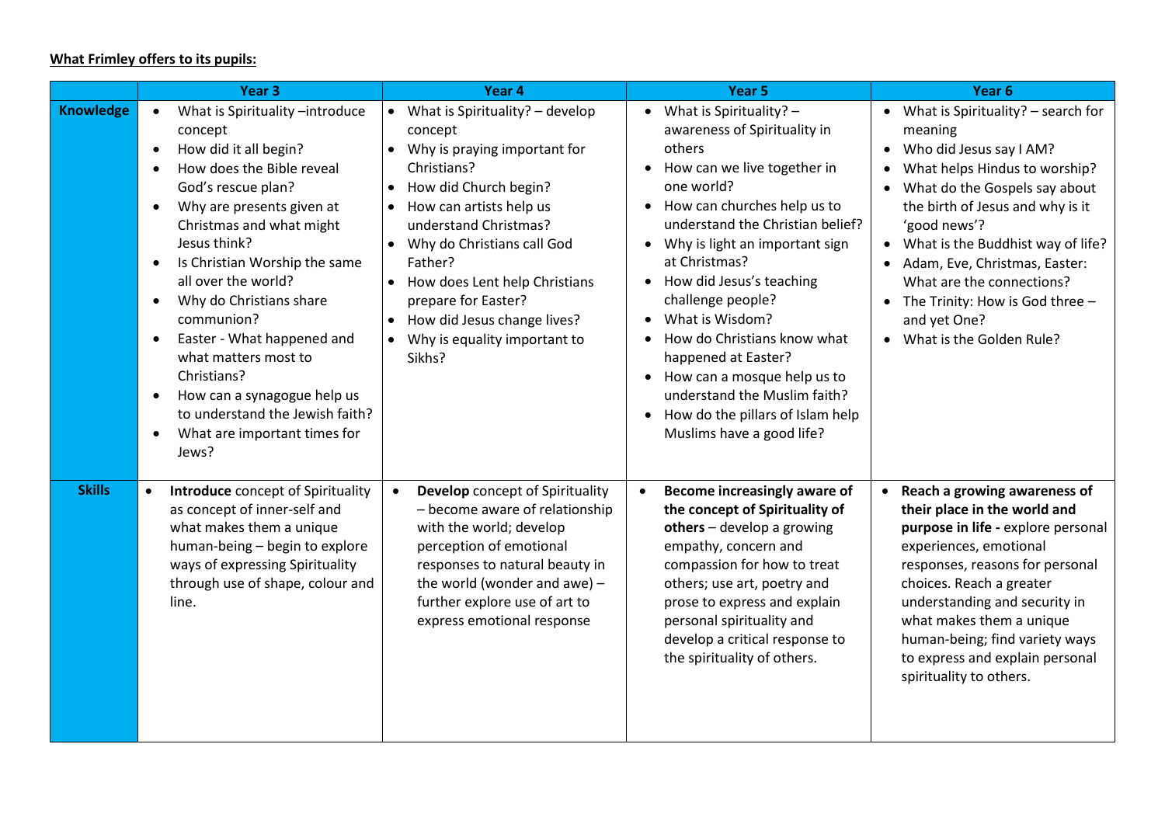# **What Frimley offers to its pupils:**

|                  | Year <sub>3</sub>                                                                                                                                                                                                                                                                                                                                                                                                                                                                                                                                                                        | Year <sub>4</sub>                                                                                                                                                                                                                                                                                                                                      | Year <sub>5</sub>                                                                                                                                                                                                                                                                                                                                                                                                                                                                                  | Year <sub>6</sub>                                                                                                                                                                                                                                                                                                                                                                                                             |
|------------------|------------------------------------------------------------------------------------------------------------------------------------------------------------------------------------------------------------------------------------------------------------------------------------------------------------------------------------------------------------------------------------------------------------------------------------------------------------------------------------------------------------------------------------------------------------------------------------------|--------------------------------------------------------------------------------------------------------------------------------------------------------------------------------------------------------------------------------------------------------------------------------------------------------------------------------------------------------|----------------------------------------------------------------------------------------------------------------------------------------------------------------------------------------------------------------------------------------------------------------------------------------------------------------------------------------------------------------------------------------------------------------------------------------------------------------------------------------------------|-------------------------------------------------------------------------------------------------------------------------------------------------------------------------------------------------------------------------------------------------------------------------------------------------------------------------------------------------------------------------------------------------------------------------------|
| <b>Knowledge</b> | What is Spirituality -introduce<br>$\bullet$<br>concept<br>How did it all begin?<br>$\bullet$<br>How does the Bible reveal<br>God's rescue plan?<br>Why are presents given at<br>$\bullet$<br>Christmas and what might<br>Jesus think?<br>Is Christian Worship the same<br>$\bullet$<br>all over the world?<br>Why do Christians share<br>$\bullet$<br>communion?<br>Easter - What happened and<br>$\bullet$<br>what matters most to<br>Christians?<br>How can a synagogue help us<br>$\bullet$<br>to understand the Jewish faith?<br>What are important times for<br>$\bullet$<br>Jews? | • What is Spirituality? $-$ develop<br>concept<br>Why is praying important for<br>Christians?<br>How did Church begin?<br>How can artists help us<br>understand Christmas?<br>• Why do Christians call God<br>Father?<br>How does Lent help Christians<br>prepare for Easter?<br>How did Jesus change lives?<br>Why is equality important to<br>Sikhs? | What is Spirituality? -<br>awareness of Spirituality in<br>others<br>How can we live together in<br>one world?<br>How can churches help us to<br>understand the Christian belief?<br>• Why is light an important sign<br>at Christmas?<br>How did Jesus's teaching<br>challenge people?<br>What is Wisdom?<br>How do Christians know what<br>happened at Easter?<br>• How can a mosque help us to<br>understand the Muslim faith?<br>How do the pillars of Islam help<br>Muslims have a good life? | • What is Spirituality? $-$ search for<br>meaning<br>Who did Jesus say I AM?<br>$\bullet$<br>What helps Hindus to worship?<br>What do the Gospels say about<br>the birth of Jesus and why is it<br>'good news'?<br>What is the Buddhist way of life?<br>$\bullet$<br>Adam, Eve, Christmas, Easter:<br>$\bullet$<br>What are the connections?<br>The Trinity: How is God three -<br>and yet One?<br>• What is the Golden Rule? |
| <b>Skills</b>    | <b>Introduce</b> concept of Spirituality<br>as concept of inner-self and<br>what makes them a unique<br>human-being - begin to explore<br>ways of expressing Spirituality<br>through use of shape, colour and<br>line.                                                                                                                                                                                                                                                                                                                                                                   | Develop concept of Spirituality<br>$\bullet$<br>- become aware of relationship<br>with the world; develop<br>perception of emotional<br>responses to natural beauty in<br>the world (wonder and awe) $-$<br>further explore use of art to<br>express emotional response                                                                                | Become increasingly aware of<br>$\bullet$<br>the concept of Spirituality of<br>others - develop a growing<br>empathy, concern and<br>compassion for how to treat<br>others; use art, poetry and<br>prose to express and explain<br>personal spirituality and<br>develop a critical response to<br>the spirituality of others.                                                                                                                                                                      | • Reach a growing awareness of<br>their place in the world and<br>purpose in life - explore personal<br>experiences, emotional<br>responses, reasons for personal<br>choices. Reach a greater<br>understanding and security in<br>what makes them a unique<br>human-being; find variety ways<br>to express and explain personal<br>spirituality to others.                                                                    |